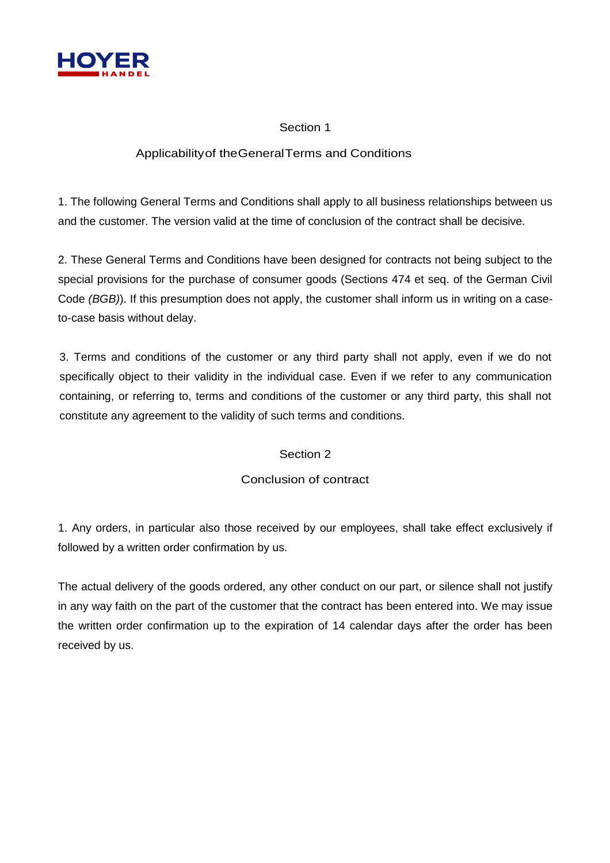

## Section 1

## Applicabilityof theGeneralTerms and Conditions

1. The following General Terms and Conditions shall apply to all business relationships between us and the customer. The version valid at the time of conclusion of the contract shall be decisive.

2. These General Terms and Conditions have been designed for contracts not being subject to the special provisions for the purchase of consumer goods (Sections 474 et seq. of the German Civil Code *(BGB)*). If this presumption does not apply, the customer shall inform us in writing on a caseto-case basis without delay.

3. Terms and conditions of the customer or any third party shall not apply, even if we do not specifically object to their validity in the individual case. Even if we refer to any communication containing, or referring to, terms and conditions of the customer or any third party, this shall not constitute any agreement to the validity of such terms and conditions.

## Section 2

## Conclusion of contract

1. Any orders, in particular also those received by our employees, shall take effect exclusively if followed by a written order confirmation by us.

The actual delivery of the goods ordered, any other conduct on our part, or silence shall not justify in any way faith on the part of the customer that the contract has been entered into. We may issue the written order confirmation up to the expiration of 14 calendar days after the order has been received by us.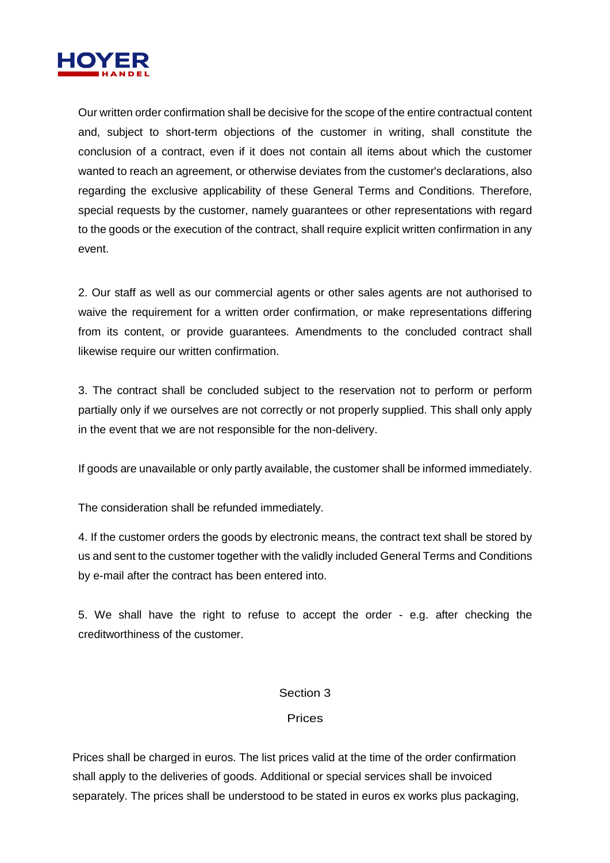

Our written order confirmation shall be decisive for the scope of the entire contractual content and, subject to short-term objections of the customer in writing, shall constitute the conclusion of a contract, even if it does not contain all items about which the customer wanted to reach an agreement, or otherwise deviates from the customer's declarations, also regarding the exclusive applicability of these General Terms and Conditions. Therefore, special requests by the customer, namely guarantees or other representations with regard to the goods or the execution of the contract, shall require explicit written confirmation in any event.

2. Our staff as well as our commercial agents or other sales agents are not authorised to waive the requirement for a written order confirmation, or make representations differing from its content, or provide guarantees. Amendments to the concluded contract shall likewise require our written confirmation.

3. The contract shall be concluded subject to the reservation not to perform or perform partially only if we ourselves are not correctly or not properly supplied. This shall only apply in the event that we are not responsible for the non-delivery.

If goods are unavailable or only partly available, the customer shall be informed immediately.

The consideration shall be refunded immediately.

4. If the customer orders the goods by electronic means, the contract text shall be stored by us and sent to the customer together with the validly included General Terms and Conditions by e-mail after the contract has been entered into.

5. We shall have the right to refuse to accept the order - e.g. after checking the creditworthiness of the customer.

#### Section 3

#### Prices

Prices shall be charged in euros. The list prices valid at the time of the order confirmation shall apply to the deliveries of goods. Additional or special services shall be invoiced separately. The prices shall be understood to be stated in euros ex works plus packaging,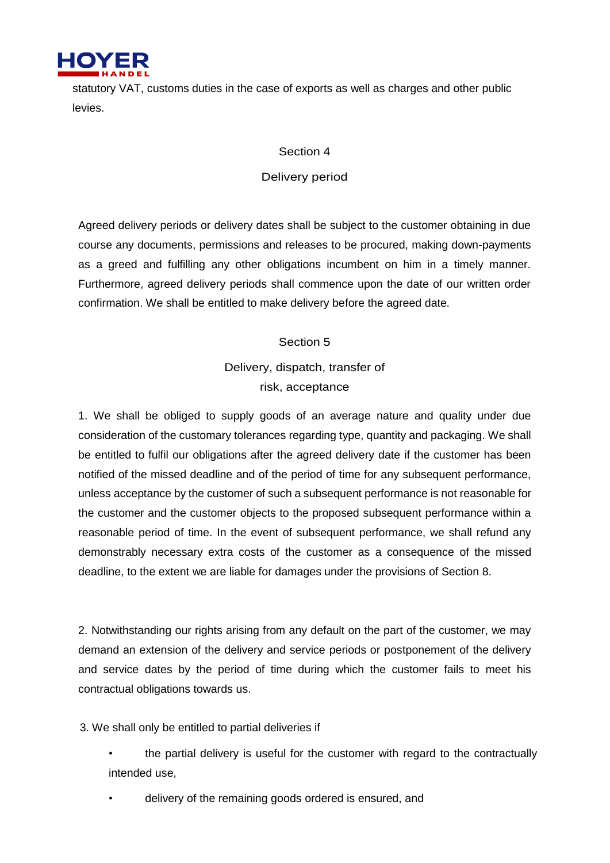

statutory VAT, customs duties in the case of exports as well as charges and other public levies.

#### Section 4

### Delivery period

Agreed delivery periods or delivery dates shall be subject to the customer obtaining in due course any documents, permissions and releases to be procured, making down-payments as a greed and fulfilling any other obligations incumbent on him in a timely manner. Furthermore, agreed delivery periods shall commence upon the date of our written order confirmation. We shall be entitled to make delivery before the agreed date.

## Section 5

Delivery, dispatch, transfer of risk, acceptance

1. We shall be obliged to supply goods of an average nature and quality under due consideration of the customary tolerances regarding type, quantity and packaging. We shall be entitled to fulfil our obligations after the agreed delivery date if the customer has been notified of the missed deadline and of the period of time for any subsequent performance, unless acceptance by the customer of such a subsequent performance is not reasonable for the customer and the customer objects to the proposed subsequent performance within a reasonable period of time. In the event of subsequent performance, we shall refund any demonstrably necessary extra costs of the customer as a consequence of the missed deadline, to the extent we are liable for damages under the provisions of Section 8.

2. Notwithstanding our rights arising from any default on the part of the customer, we may demand an extension of the delivery and service periods or postponement of the delivery and service dates by the period of time during which the customer fails to meet his contractual obligations towards us.

3. We shall only be entitled to partial deliveries if

• the partial delivery is useful for the customer with regard to the contractually intended use,

• delivery of the remaining goods ordered is ensured, and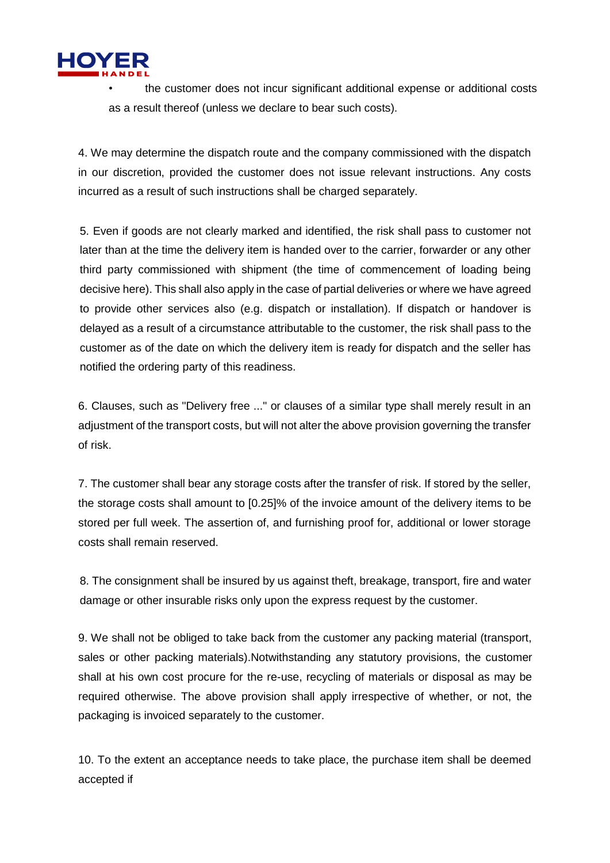

• the customer does not incur significant additional expense or additional costs as a result thereof (unless we declare to bear such costs).

4. We may determine the dispatch route and the company commissioned with the dispatch in our discretion, provided the customer does not issue relevant instructions. Any costs incurred as a result of such instructions shall be charged separately.

5. Even if goods are not clearly marked and identified, the risk shall pass to customer not later than at the time the delivery item is handed over to the carrier, forwarder or any other third party commissioned with shipment (the time of commencement of loading being decisive here). This shall also apply in the case of partial deliveries or where we have agreed to provide other services also (e.g. dispatch or installation). If dispatch or handover is delayed as a result of a circumstance attributable to the customer, the risk shall pass to the customer as of the date on which the delivery item is ready for dispatch and the seller has notified the ordering party of this readiness.

6. Clauses, such as "Delivery free ..." or clauses of a similar type shall merely result in an adjustment of the transport costs, but will not alter the above provision governing the transfer of risk.

7. The customer shall bear any storage costs after the transfer of risk. If stored by the seller, the storage costs shall amount to [0.25]% of the invoice amount of the delivery items to be stored per full week. The assertion of, and furnishing proof for, additional or lower storage costs shall remain reserved.

8. The consignment shall be insured by us against theft, breakage, transport, fire and water damage or other insurable risks only upon the express request by the customer.

9. We shall not be obliged to take back from the customer any packing material (transport, sales or other packing materials).Notwithstanding any statutory provisions, the customer shall at his own cost procure for the re-use, recycling of materials or disposal as may be required otherwise. The above provision shall apply irrespective of whether, or not, the packaging is invoiced separately to the customer.

10. To the extent an acceptance needs to take place, the purchase item shall be deemed accepted if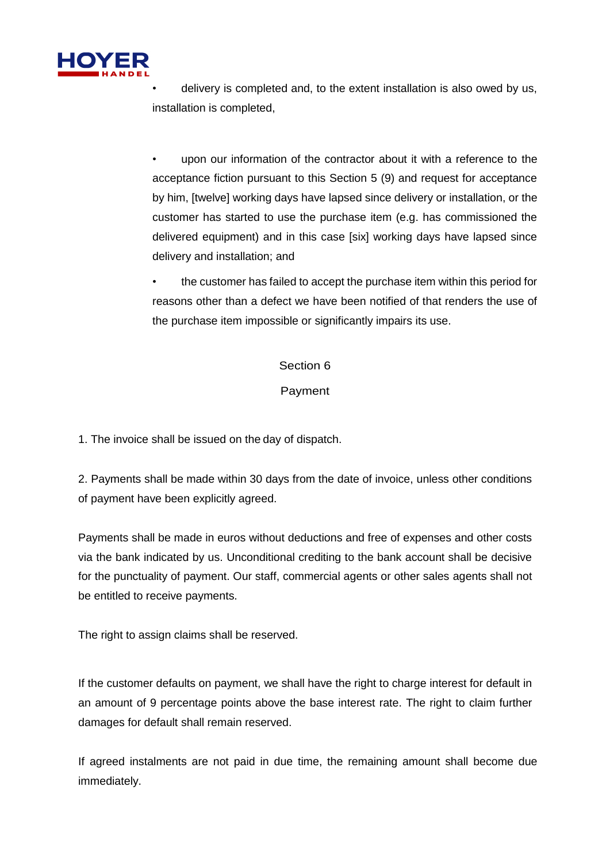

• delivery is completed and, to the extent installation is also owed by us, installation is completed,

• upon our information of the contractor about it with a reference to the acceptance fiction pursuant to this Section 5 (9) and request for acceptance by him, [twelve] working days have lapsed since delivery or installation, or the customer has started to use the purchase item (e.g. has commissioned the delivered equipment) and in this case [six] working days have lapsed since delivery and installation; and

• the customer has failed to accept the purchase item within this period for reasons other than a defect we have been notified of that renders the use of the purchase item impossible or significantly impairs its use.

#### Section 6

## Payment

1. The invoice shall be issued on the day of dispatch.

2. Payments shall be made within 30 days from the date of invoice, unless other conditions of payment have been explicitly agreed.

Payments shall be made in euros without deductions and free of expenses and other costs via the bank indicated by us. Unconditional crediting to the bank account shall be decisive for the punctuality of payment. Our staff, commercial agents or other sales agents shall not be entitled to receive payments.

The right to assign claims shall be reserved.

If the customer defaults on payment, we shall have the right to charge interest for default in an amount of 9 percentage points above the base interest rate. The right to claim further damages for default shall remain reserved.

If agreed instalments are not paid in due time, the remaining amount shall become due immediately.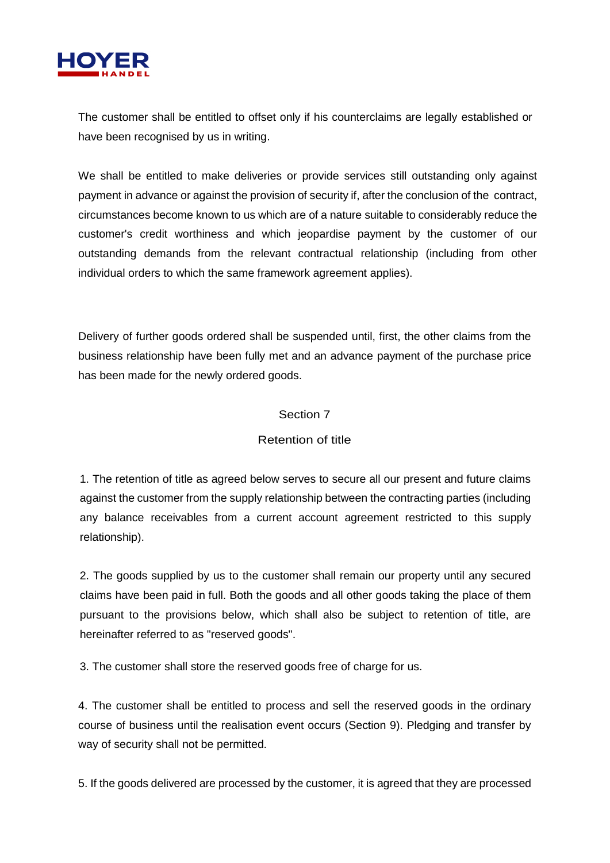

The customer shall be entitled to offset only if his counterclaims are legally established or have been recognised by us in writing.

We shall be entitled to make deliveries or provide services still outstanding only against payment in advance or against the provision of security if, after the conclusion of the contract, circumstances become known to us which are of a nature suitable to considerably reduce the customer's credit worthiness and which jeopardise payment by the customer of our outstanding demands from the relevant contractual relationship (including from other individual orders to which the same framework agreement applies).

Delivery of further goods ordered shall be suspended until, first, the other claims from the business relationship have been fully met and an advance payment of the purchase price has been made for the newly ordered goods.

#### Section 7

## Retention of title

1. The retention of title as agreed below serves to secure all our present and future claims against the customer from the supply relationship between the contracting parties (including any balance receivables from a current account agreement restricted to this supply relationship).

2. The goods supplied by us to the customer shall remain our property until any secured claims have been paid in full. Both the goods and all other goods taking the place of them pursuant to the provisions below, which shall also be subject to retention of title, are hereinafter referred to as "reserved goods".

3. The customer shall store the reserved goods free of charge for us.

4. The customer shall be entitled to process and sell the reserved goods in the ordinary course of business until the realisation event occurs (Section 9). Pledging and transfer by way of security shall not be permitted.

5. If the goods delivered are processed by the customer, it is agreed that they are processed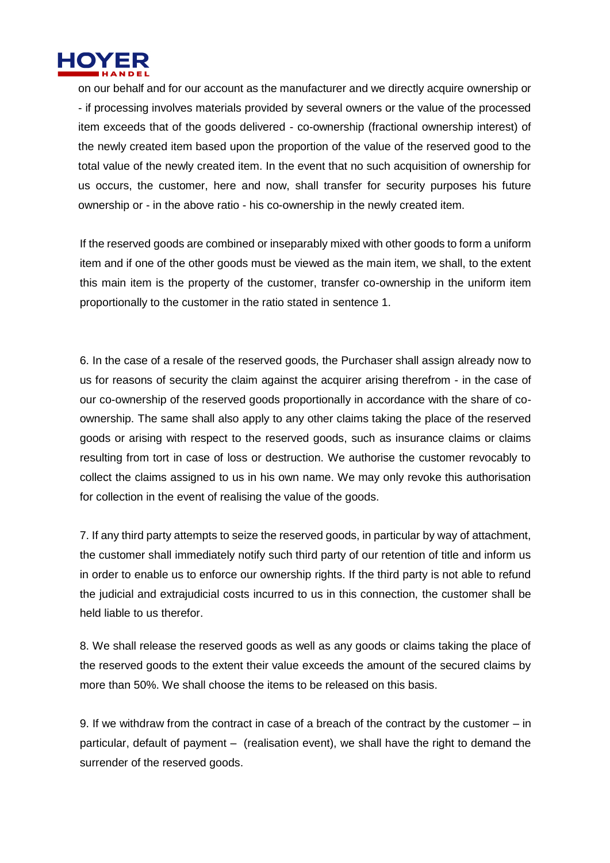

on our behalf and for our account as the manufacturer and we directly acquire ownership or - if processing involves materials provided by several owners or the value of the processed item exceeds that of the goods delivered - co-ownership (fractional ownership interest) of the newly created item based upon the proportion of the value of the reserved good to the total value of the newly created item. In the event that no such acquisition of ownership for us occurs, the customer, here and now, shall transfer for security purposes his future ownership or - in the above ratio - his co-ownership in the newly created item.

If the reserved goods are combined or inseparably mixed with other goods to form a uniform item and if one of the other goods must be viewed as the main item, we shall, to the extent this main item is the property of the customer, transfer co-ownership in the uniform item proportionally to the customer in the ratio stated in sentence 1.

6. In the case of a resale of the reserved goods, the Purchaser shall assign already now to us for reasons of security the claim against the acquirer arising therefrom - in the case of our co-ownership of the reserved goods proportionally in accordance with the share of coownership. The same shall also apply to any other claims taking the place of the reserved goods or arising with respect to the reserved goods, such as insurance claims or claims resulting from tort in case of loss or destruction. We authorise the customer revocably to collect the claims assigned to us in his own name. We may only revoke this authorisation for collection in the event of realising the value of the goods.

7. If any third party attempts to seize the reserved goods, in particular by way of attachment, the customer shall immediately notify such third party of our retention of title and inform us in order to enable us to enforce our ownership rights. If the third party is not able to refund the judicial and extrajudicial costs incurred to us in this connection, the customer shall be held liable to us therefor.

8. We shall release the reserved goods as well as any goods or claims taking the place of the reserved goods to the extent their value exceeds the amount of the secured claims by more than 50%. We shall choose the items to be released on this basis.

9. If we withdraw from the contract in case of a breach of the contract by the customer – in particular, default of payment – (realisation event), we shall have the right to demand the surrender of the reserved goods.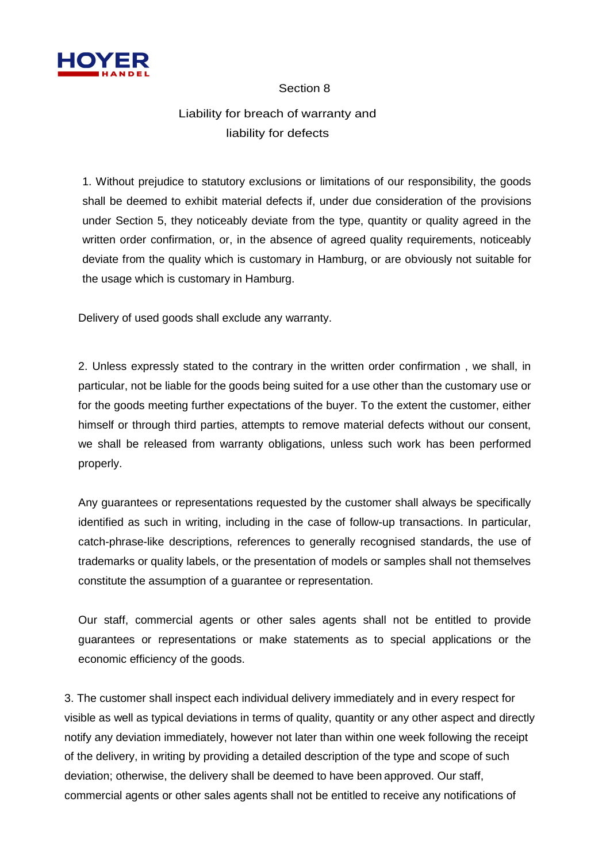

#### Section 8

## Liability for breach of warranty and liability for defects

1. Without prejudice to statutory exclusions or limitations of our responsibility, the goods shall be deemed to exhibit material defects if, under due consideration of the provisions under Section 5, they noticeably deviate from the type, quantity or quality agreed in the written order confirmation, or, in the absence of agreed quality requirements, noticeably deviate from the quality which is customary in Hamburg, or are obviously not suitable for the usage which is customary in Hamburg.

Delivery of used goods shall exclude any warranty.

2. Unless expressly stated to the contrary in the written order confirmation , we shall, in particular, not be liable for the goods being suited for a use other than the customary use or for the goods meeting further expectations of the buyer. To the extent the customer, either himself or through third parties, attempts to remove material defects without our consent, we shall be released from warranty obligations, unless such work has been performed properly.

Any guarantees or representations requested by the customer shall always be specifically identified as such in writing, including in the case of follow-up transactions. In particular, catch-phrase-like descriptions, references to generally recognised standards, the use of trademarks or quality labels, or the presentation of models or samples shall not themselves constitute the assumption of a guarantee or representation.

Our staff, commercial agents or other sales agents shall not be entitled to provide guarantees or representations or make statements as to special applications or the economic efficiency of the goods.

3. The customer shall inspect each individual delivery immediately and in every respect for visible as well as typical deviations in terms of quality, quantity or any other aspect and directly notify any deviation immediately, however not later than within one week following the receipt of the delivery, in writing by providing a detailed description of the type and scope of such deviation; otherwise, the delivery shall be deemed to have been approved. Our staff, commercial agents or other sales agents shall not be entitled to receive any notifications of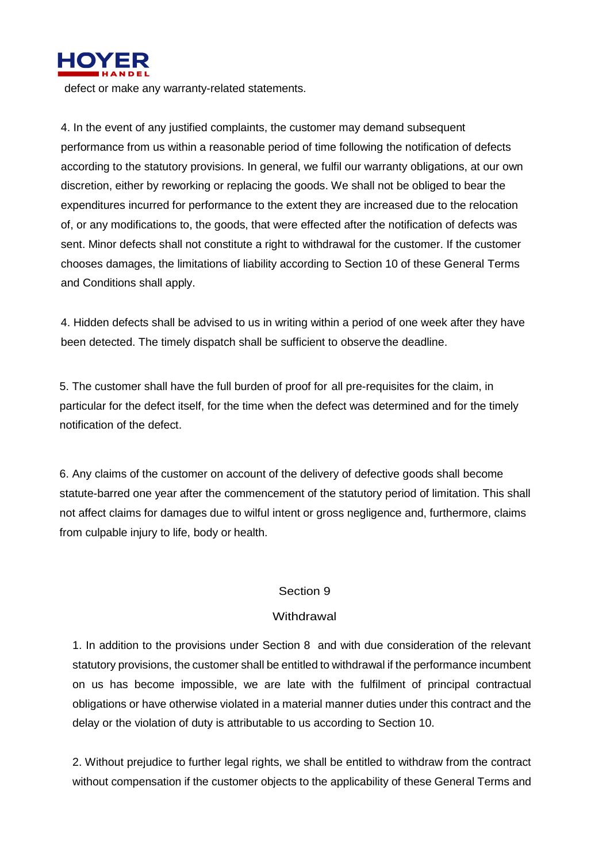

defect or make any warranty-related statements.

4. In the event of any justified complaints, the customer may demand subsequent performance from us within a reasonable period of time following the notification of defects according to the statutory provisions. In general, we fulfil our warranty obligations, at our own discretion, either by reworking or replacing the goods. We shall not be obliged to bear the expenditures incurred for performance to the extent they are increased due to the relocation of, or any modifications to, the goods, that were effected after the notification of defects was sent. Minor defects shall not constitute a right to withdrawal for the customer. If the customer chooses damages, the limitations of liability according to Section 10 of these General Terms and Conditions shall apply.

4. Hidden defects shall be advised to us in writing within a period of one week after they have been detected. The timely dispatch shall be sufficient to observe the deadline.

5. The customer shall have the full burden of proof for all pre-requisites for the claim, in particular for the defect itself, for the time when the defect was determined and for the timely notification of the defect.

6. Any claims of the customer on account of the delivery of defective goods shall become statute-barred one year after the commencement of the statutory period of limitation. This shall not affect claims for damages due to wilful intent or gross negligence and, furthermore, claims from culpable injury to life, body or health.

#### Section 9

#### **Withdrawal**

1. In addition to the provisions under Section 8 and with due consideration of the relevant statutory provisions, the customer shall be entitled to withdrawal if the performance incumbent on us has become impossible, we are late with the fulfilment of principal contractual obligations or have otherwise violated in a material manner duties under this contract and the delay or the violation of duty is attributable to us according to Section 10.

2. Without prejudice to further legal rights, we shall be entitled to withdraw from the contract without compensation if the customer objects to the applicability of these General Terms and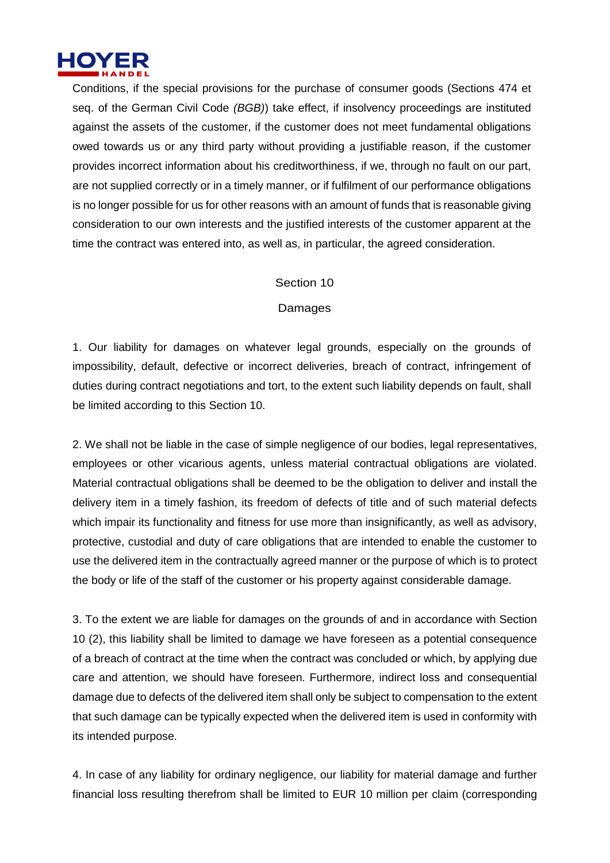

Conditions, if the special provisions for the purchase of consumer goods (Sections 474 et seq. of the German Civil Code *(BGB)*) take effect, if insolvency proceedings are instituted against the assets of the customer, if the customer does not meet fundamental obligations owed towards us or any third party without providing a justifiable reason, if the customer provides incorrect information about his creditworthiness, if we, through no fault on our part, are not supplied correctly or in a timely manner, or if fulfilment of our performance obligations is no longer possible for us for other reasons with an amount of funds that is reasonable giving consideration to our own interests and the justified interests of the customer apparent at the time the contract was entered into, as well as, in particular, the agreed consideration.

#### Section 10

#### **Damages**

1. Our liability for damages on whatever legal grounds, especially on the grounds of impossibility, default, defective or incorrect deliveries, breach of contract, infringement of duties during contract negotiations and tort, to the extent such liability depends on fault, shall be limited according to this Section 10.

2. We shall not be liable in the case of simple negligence of our bodies, legal representatives, employees or other vicarious agents, unless material contractual obligations are violated. Material contractual obligations shall be deemed to be the obligation to deliver and install the delivery item in a timely fashion, its freedom of defects of title and of such material defects which impair its functionality and fitness for use more than insignificantly, as well as advisory, protective, custodial and duty of care obligations that are intended to enable the customer to use the delivered item in the contractually agreed manner or the purpose of which is to protect the body or life of the staff of the customer or his property against considerable damage.

3. To the extent we are liable for damages on the grounds of and in accordance with Section 10 (2), this liability shall be limited to damage we have foreseen as a potential consequence of a breach of contract at the time when the contract was concluded or which, by applying due care and attention, we should have foreseen. Furthermore, indirect loss and consequential damage due to defects of the delivered item shall only be subject to compensation to the extent that such damage can be typically expected when the delivered item is used in conformity with its intended purpose.

4. In case of any liability for ordinary negligence, our liability for material damage and further financial loss resulting therefrom shall be limited to EUR 10 million per claim (corresponding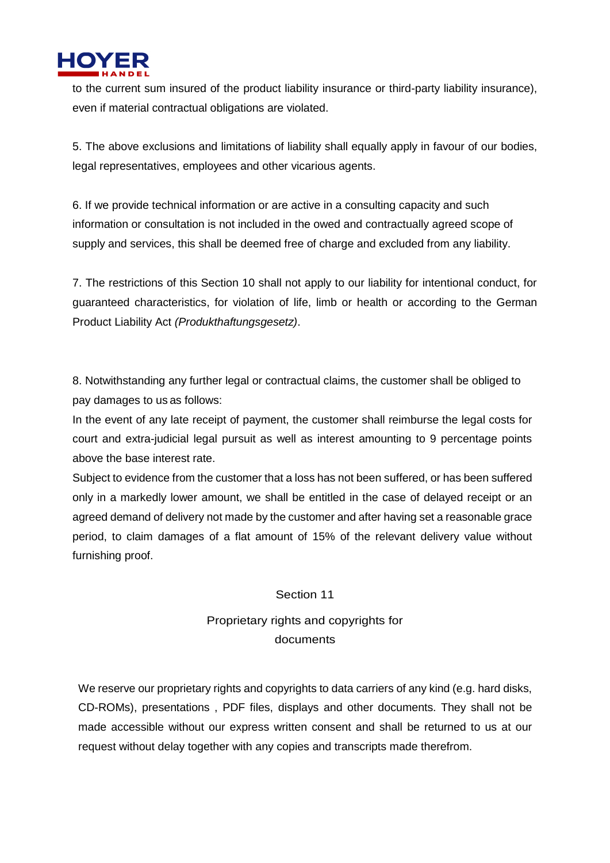

to the current sum insured of the product liability insurance or third-party liability insurance), even if material contractual obligations are violated.

5. The above exclusions and limitations of liability shall equally apply in favour of our bodies, legal representatives, employees and other vicarious agents.

6. If we provide technical information or are active in a consulting capacity and such information or consultation is not included in the owed and contractually agreed scope of supply and services, this shall be deemed free of charge and excluded from any liability.

7. The restrictions of this Section 10 shall not apply to our liability for intentional conduct, for guaranteed characteristics, for violation of life, limb or health or according to the German Product Liability Act *(Produkthaftungsgesetz)*.

8. Notwithstanding any further legal or contractual claims, the customer shall be obliged to pay damages to us as follows:

In the event of any late receipt of payment, the customer shall reimburse the legal costs for court and extra-judicial legal pursuit as well as interest amounting to 9 percentage points above the base interest rate.

Subject to evidence from the customer that a loss has not been suffered, or has been suffered only in a markedly lower amount, we shall be entitled in the case of delayed receipt or an agreed demand of delivery not made by the customer and after having set a reasonable grace period, to claim damages of a flat amount of 15% of the relevant delivery value without furnishing proof.

#### Section 11

## Proprietary rights and copyrights for documents

We reserve our proprietary rights and copyrights to data carriers of any kind (e.g. hard disks, CD-ROMs), presentations , PDF files, displays and other documents. They shall not be made accessible without our express written consent and shall be returned to us at our request without delay together with any copies and transcripts made therefrom.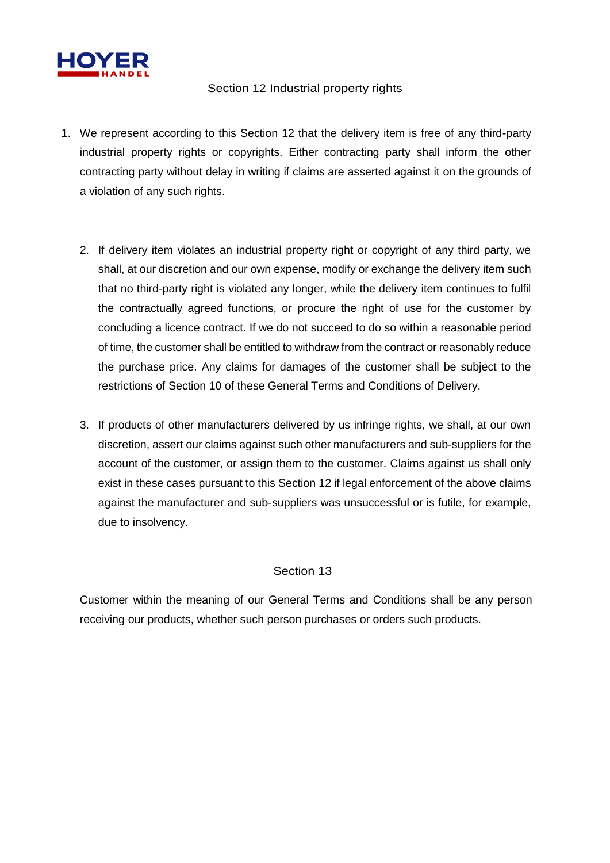

### Section 12 Industrial property rights

- 1. We represent according to this Section 12 that the delivery item is free of any third-party industrial property rights or copyrights. Either contracting party shall inform the other contracting party without delay in writing if claims are asserted against it on the grounds of a violation of any such rights.
	- 2. If delivery item violates an industrial property right or copyright of any third party, we shall, at our discretion and our own expense, modify or exchange the delivery item such that no third-party right is violated any longer, while the delivery item continues to fulfil the contractually agreed functions, or procure the right of use for the customer by concluding a licence contract. If we do not succeed to do so within a reasonable period of time, the customer shall be entitled to withdraw from the contract or reasonably reduce the purchase price. Any claims for damages of the customer shall be subject to the restrictions of Section 10 of these General Terms and Conditions of Delivery.
	- 3. If products of other manufacturers delivered by us infringe rights, we shall, at our own discretion, assert our claims against such other manufacturers and sub-suppliers for the account of the customer, or assign them to the customer. Claims against us shall only exist in these cases pursuant to this Section 12 if legal enforcement of the above claims against the manufacturer and sub-suppliers was unsuccessful or is futile, for example, due to insolvency.

## Section 13

Customer within the meaning of our General Terms and Conditions shall be any person receiving our products, whether such person purchases or orders such products.